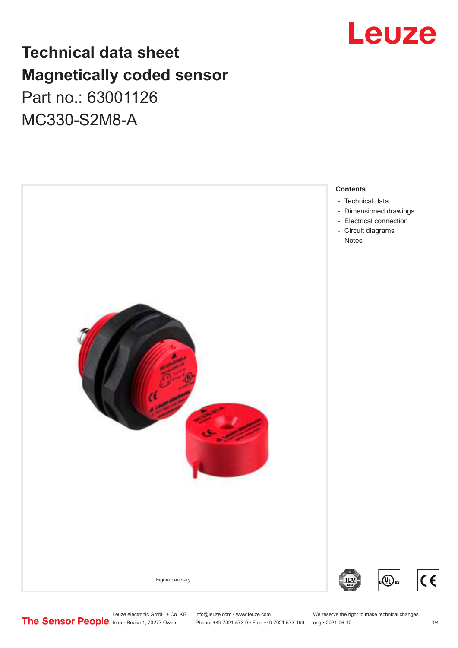## Leuze

## **Technical data sheet Magnetically coded sensor** Part no.: 63001126 MC330-S2M8-A

#### **Contents**

- [Technical data](#page-1-0)
- [Dimensioned drawings](#page-2-0)
- [Electrical connection](#page-2-0)
- [Circuit diagrams](#page-2-0)
- [Notes](#page-2-0)

Figure can vary







Leuze electronic GmbH + Co. KG info@leuze.com • www.leuze.com We reserve the right to make technical changes<br>
The Sensor People in der Braike 1, 73277 Owen Phone: +49 7021 573-0 • Fax: +49 7021 573-199 eng • 2021-06-10

Phone: +49 7021 573-0 • Fax: +49 7021 573-199 eng • 2021-06-10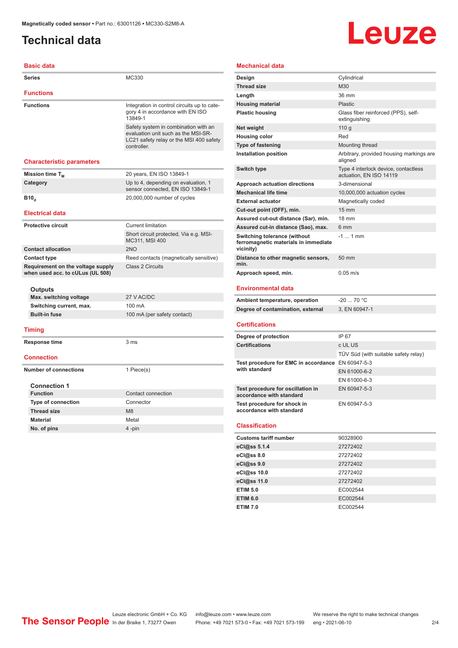## <span id="page-1-0"></span>**Technical data**

**Basic data**

# Leuze

| <b>Series</b>                                                         | MC330                                                                                                                                 |  |
|-----------------------------------------------------------------------|---------------------------------------------------------------------------------------------------------------------------------------|--|
| <b>Functions</b>                                                      |                                                                                                                                       |  |
| <b>Functions</b>                                                      | Integration in control circuits up to cate-<br>gory 4 in accordance with EN ISO<br>13849-1                                            |  |
|                                                                       | Safety system in combination with an<br>evaluation unit such as the MSI-SR-<br>LC21 safety relay or the MSI 400 safety<br>controller. |  |
| <b>Characteristic parameters</b>                                      |                                                                                                                                       |  |
| Mission time T <sub>M</sub>                                           | 20 years, EN ISO 13849-1                                                                                                              |  |
| Category                                                              | Up to 4, depending on evaluation, 1<br>sensor connected, EN ISO 13849-1                                                               |  |
| B10 <sub>d</sub>                                                      | 20,000,000 number of cycles                                                                                                           |  |
| <b>Electrical data</b>                                                |                                                                                                                                       |  |
| <b>Protective circuit</b>                                             | <b>Current limitation</b>                                                                                                             |  |
|                                                                       | Short circuit protected, Via e.g. MSI-<br>MC311, MSI 400                                                                              |  |
| <b>Contact allocation</b>                                             | 2NO                                                                                                                                   |  |
| <b>Contact type</b>                                                   | Reed contacts (magnetically sensitive)                                                                                                |  |
| Requirement on the voltage supply<br>when used acc. to cULus (UL 508) | <b>Class 2 Circuits</b>                                                                                                               |  |
|                                                                       |                                                                                                                                       |  |
| Outputs<br>Max. switching voltage                                     | 27 V AC/DC                                                                                                                            |  |
|                                                                       | 100 mA                                                                                                                                |  |
| Switching current, max.<br><b>Built-in fuse</b>                       | 100 mA (per safety contact)                                                                                                           |  |
| Timing                                                                |                                                                                                                                       |  |
| Response time                                                         | 3 ms                                                                                                                                  |  |
|                                                                       |                                                                                                                                       |  |
| <b>Connection</b>                                                     |                                                                                                                                       |  |
| <b>Number of connections</b>                                          | 1 Piece(s)                                                                                                                            |  |
| <b>Connection 1</b>                                                   |                                                                                                                                       |  |
| <b>Function</b>                                                       | Contact connection                                                                                                                    |  |
| <b>Type of connection</b>                                             | Connector                                                                                                                             |  |
|                                                                       | M <sub>8</sub>                                                                                                                        |  |
| <b>Thread size</b>                                                    |                                                                                                                                       |  |
| <b>Material</b>                                                       | Metal                                                                                                                                 |  |

| <b>Mechanical data</b>                                                                   |                                                                 |
|------------------------------------------------------------------------------------------|-----------------------------------------------------------------|
| Design                                                                                   | Cylindrical                                                     |
| <b>Thread size</b>                                                                       | M30                                                             |
| Length                                                                                   | 36 mm                                                           |
| <b>Housing material</b>                                                                  | Plastic                                                         |
| <b>Plastic housing</b>                                                                   | Glass fiber reinforced (PPS), self-<br>extinguishing            |
| Net weight                                                                               | 110q                                                            |
| <b>Housing color</b>                                                                     | Red                                                             |
| Type of fastening                                                                        | Mounting thread                                                 |
| Installation position                                                                    | Arbitrary, provided housing markings are<br>aligned             |
| <b>Switch type</b>                                                                       | Type 4 interlock device, contactless<br>actuation, EN ISO 14119 |
| Approach actuation directions                                                            | 3-dimensional                                                   |
| <b>Mechanical life time</b>                                                              | 10,000,000 actuation cycles                                     |
| <b>External actuator</b>                                                                 | Magnetically coded                                              |
| Cut-out point (OFF), min.                                                                | $15 \text{ mm}$                                                 |
| Assured cut-out distance (Sar), min.                                                     | <b>18 mm</b>                                                    |
| Assured cut-in distance (Sao), max.                                                      | 6 mm                                                            |
| <b>Switching tolerance (without</b><br>ferromagnetic materials in immediate<br>vicinity) | $-11$ mm                                                        |
| Distance to other magnetic sensors,<br>min.                                              | 50 mm                                                           |
| Approach speed, min.                                                                     | $0.05 \text{ m/s}$                                              |
| <b>Environmental data</b>                                                                |                                                                 |
| Ambiant tamparatura operation                                                            | 70 °C<br>. ∩ר                                                   |

| Ambient temperature, operation<br>-20  70 °C |               |
|----------------------------------------------|---------------|
| Degree of contamination, external            | 3. EN 60947-1 |

#### **Certifications**

| Degree of protection                                               | IP 67                                |
|--------------------------------------------------------------------|--------------------------------------|
| <b>Certifications</b>                                              | c UL US                              |
|                                                                    | TÜV Süd (with suitable safety relay) |
| Test procedure for EMC in accordance EN 60947-5-3<br>with standard |                                      |
|                                                                    | EN 61000-6-2                         |
|                                                                    | EN 61000-6-3                         |
| Test procedure for oscillation in<br>accordance with standard      | EN 60947-5-3                         |
| Test procedure for shock in<br>accordance with standard            | EN 60947-5-3                         |

#### **Classification**

| <b>Customs tariff number</b> | 90328900 |
|------------------------------|----------|
| eCl@ss 5.1.4                 | 27272402 |
| eCl@ss 8.0                   | 27272402 |
| eCl@ss 9.0                   | 27272402 |
| eCl@ss 10.0                  | 27272402 |
| eCl@ss 11.0                  | 27272402 |
| <b>ETIM 5.0</b>              | EC002544 |
| <b>ETIM 6.0</b>              | EC002544 |
| <b>ETIM 7.0</b>              | EC002544 |

Leuze electronic GmbH + Co. KG info@leuze.com • www.leuze.com We reserve the right to make technical changes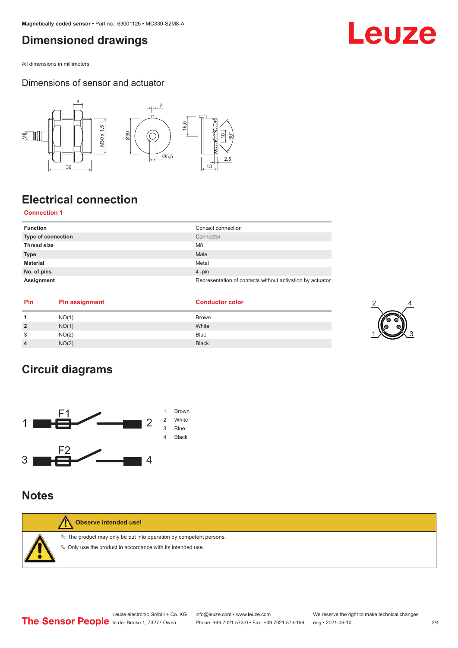## <span id="page-2-0"></span>**Dimensioned drawings**

All dimensions in millimeters

### Dimensions of sensor and actuator



## **Electrical connection**

### **Connection 1**

| <b>Function</b>    | Contact connection                                        |
|--------------------|-----------------------------------------------------------|
| Type of connection | Connector                                                 |
| <b>Thread size</b> | M <sub>8</sub>                                            |
| <b>Type</b>        | Male                                                      |
| <b>Material</b>    | Metal                                                     |
| No. of pins        | $4$ -pin                                                  |
| Assignment         | Representation of contacts without activation by actuator |

| Pin | <b>Pin assignment</b> | <b>Conductor color</b> |    |
|-----|-----------------------|------------------------|----|
|     | NO(1)                 | <b>Brown</b>           |    |
|     | NO(1)                 | White                  | Q. |
| -   | NO(2)                 | <b>Blue</b>            |    |
|     | NO(2)                 | <b>Black</b>           |    |

## **Circuit diagrams**



### **Notes**

| Observe intended use!                                                                                                                     |
|-------------------------------------------------------------------------------------------------------------------------------------------|
| $\&$ The product may only be put into operation by competent persons.<br>$\phi$ Only use the product in accordance with its intended use. |

### Leuze electronic GmbH + Co. KG info@leuze.com • www.leuze.com We reserve the right to make technical changes<br>
The Sensor People in der Braike 1, 73277 Owen Phone: +49 7021 573-0 • Fax: +49 7021 573-199 eng • 2021-06-10 Phone: +49 7021 573-0 • Fax: +49 7021 573-199 eng • 2021-06-10 3/4

## Leuze